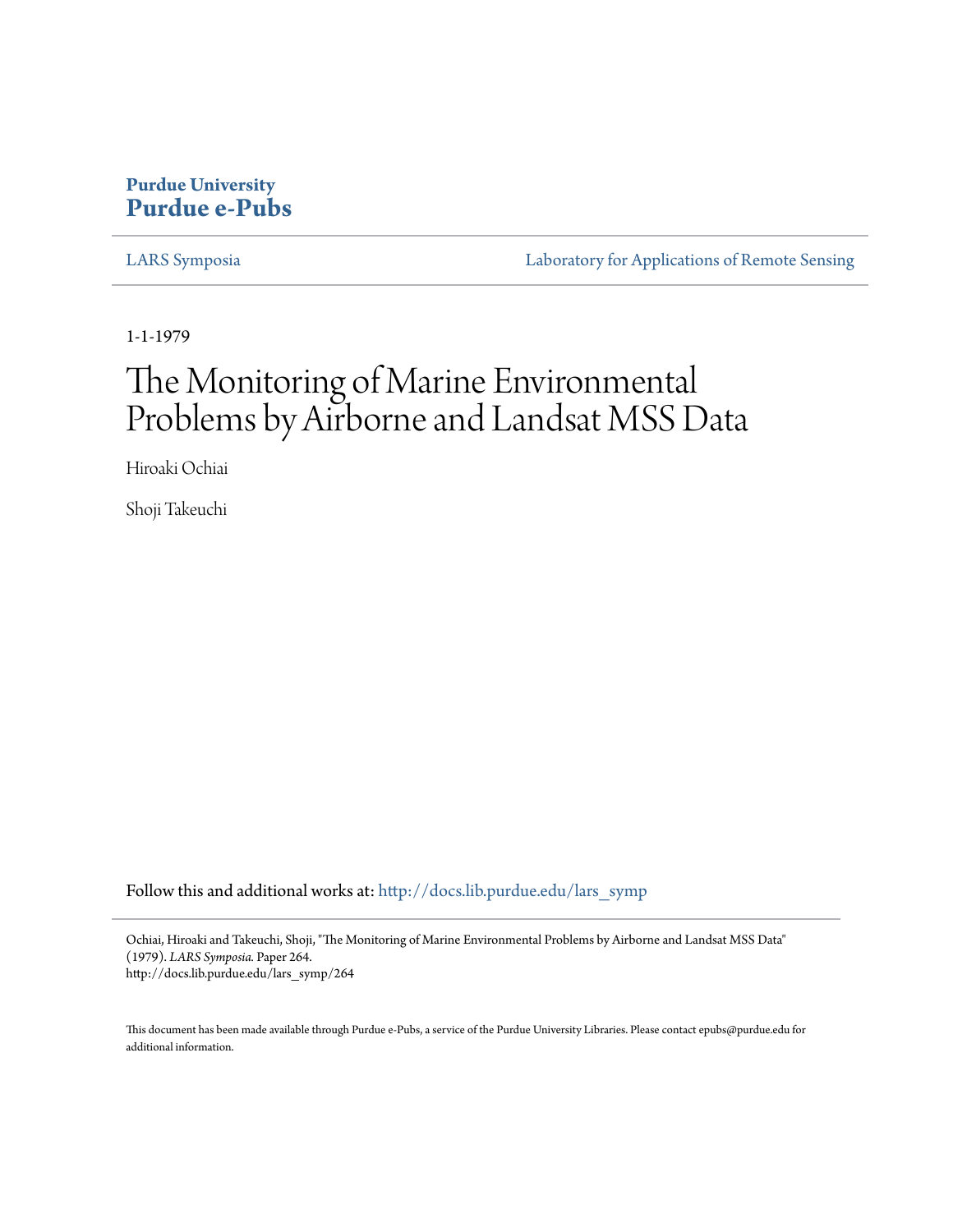### **Purdue University [Purdue e-Pubs](http://docs.lib.purdue.edu?utm_source=docs.lib.purdue.edu%2Flars_symp%2F264&utm_medium=PDF&utm_campaign=PDFCoverPages)**

[LARS Symposia](http://docs.lib.purdue.edu/lars_symp?utm_source=docs.lib.purdue.edu%2Flars_symp%2F264&utm_medium=PDF&utm_campaign=PDFCoverPages) [Laboratory for Applications of Remote Sensing](http://docs.lib.purdue.edu/lars?utm_source=docs.lib.purdue.edu%2Flars_symp%2F264&utm_medium=PDF&utm_campaign=PDFCoverPages)

1-1-1979

# The Monitoring of Marine Environmental Problems by Airborne and Landsat MSS Data

Hiroaki Ochiai

Shoji Takeuchi

Follow this and additional works at: [http://docs.lib.purdue.edu/lars\\_symp](http://docs.lib.purdue.edu/lars_symp?utm_source=docs.lib.purdue.edu%2Flars_symp%2F264&utm_medium=PDF&utm_campaign=PDFCoverPages)

Ochiai, Hiroaki and Takeuchi, Shoji, "The Monitoring of Marine Environmental Problems by Airborne and Landsat MSS Data" (1979). *LARS Symposia.* Paper 264. http://docs.lib.purdue.edu/lars\_symp/264

This document has been made available through Purdue e-Pubs, a service of the Purdue University Libraries. Please contact epubs@purdue.edu for additional information.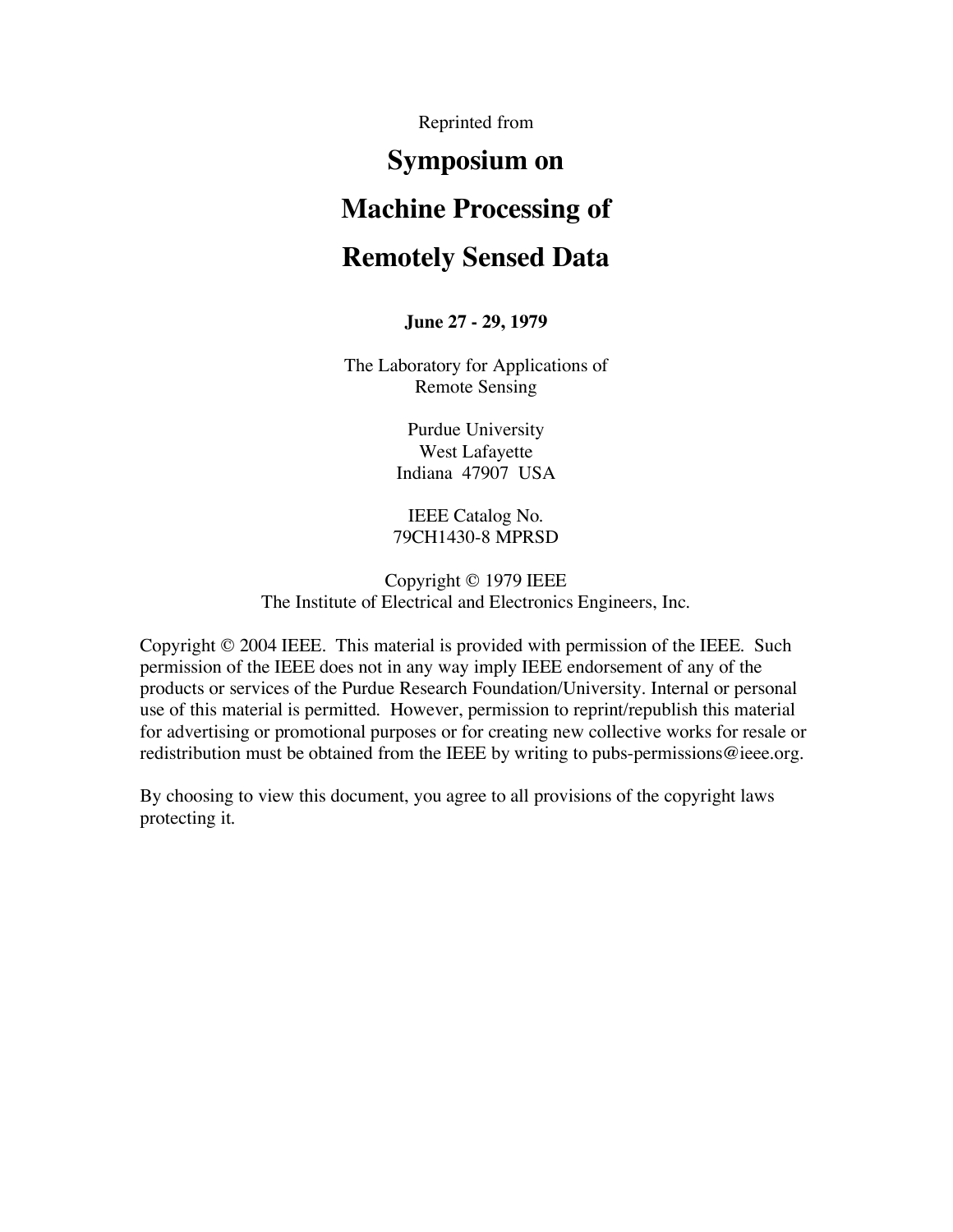Reprinted from

## **Symposium on**

### **Machine Processing of**

### **Remotely Sensed Data**

#### **June 27 - 29, 1979**

The Laboratory for Applications of Remote Sensing

> Purdue University West Lafayette Indiana 47907 USA

IEEE Catalog No. 79CH1430-8 MPRSD

Copyright © 1979 IEEE The Institute of Electrical and Electronics Engineers, Inc.

Copyright © 2004 IEEE. This material is provided with permission of the IEEE. Such permission of the IEEE does not in any way imply IEEE endorsement of any of the products or services of the Purdue Research Foundation/University. Internal or personal use of this material is permitted. However, permission to reprint/republish this material for advertising or promotional purposes or for creating new collective works for resale or redistribution must be obtained from the IEEE by writing to pubs-permissions@ieee.org.

By choosing to view this document, you agree to all provisions of the copyright laws protecting it.